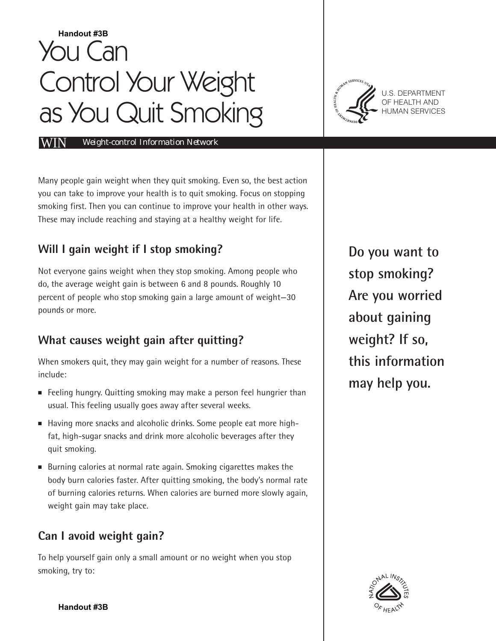# You Can Control Your Weight as You Quit Smoking **Handout #3B**



 $Weight$ -control Information Network

Many people gain weight when they quit smoking. Even so, the best action you can take to improve your health is to quit smoking. Focus on stopping smoking first. Then you can continue to improve your health in other ways. These may include reaching and staying at a healthy weight for life.

# **Will I gain weight if I stop smoking?**

Not everyone gains weight when they stop smoking. Among people who do, the average weight gain is between 6 and 8 pounds. Roughly 10 percent of people who stop smoking gain a large amount of weight—30 pounds or more.

# **What causes weight gain after quitting?**

When smokers quit, they may gain weight for a number of reasons. These include:

- Feeling hungry. Quitting smoking may make a person feel hungrier than usual. This feeling usually goes away after several weeks.
- Having more snacks and alcoholic drinks. Some people eat more highfat, high-sugar snacks and drink more alcoholic beverages after they quit smoking.
- Burning calories at normal rate again. Smoking cigarettes makes the body burn calories faster. After quitting smoking, the body's normal rate of burning calories returns. When calories are burned more slowly again, weight gain may take place.

# **Can I avoid weight gain?**

To help yourself gain only a small amount or no weight when you stop smoking, try to:

**Do you want to stop smoking? Are you worried about gaining weight? If so, this information may help you.**

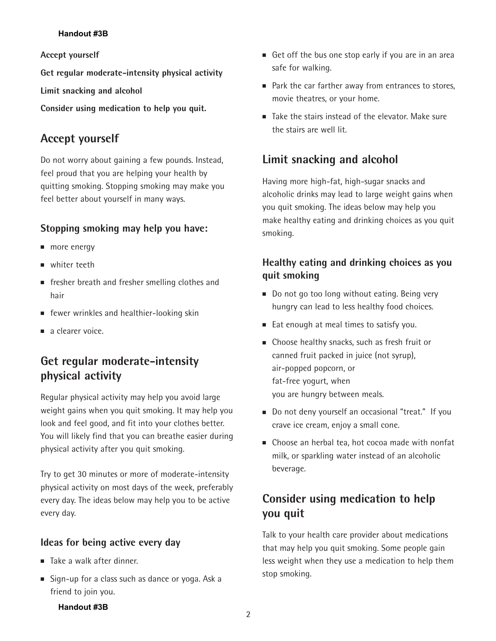#### **Handout #3B**

**Accept yourself**

**Get regular moderate-intensity physical activity**

**Limit snacking and alcohol**

**Consider using medication to help you quit.**

## **Accept yourself**

Do not worry about gaining a few pounds. Instead, feel proud that you are helping your health by quitting smoking. Stopping smoking may make you feel better about yourself in many ways.

#### **Stopping smoking may help you have:**

- more energy
- whiter teeth
- fresher breath and fresher smelling clothes and hair
- fewer wrinkles and healthier-looking skin
- a clearer voice.

# **Get regular moderate-intensity physical activity**

Regular physical activity may help you avoid large weight gains when you quit smoking. It may help you look and feel good, and fit into your clothes better. You will likely find that you can breathe easier during physical activity after you quit smoking.

Try to get 30 minutes or more of moderate-intensity physical activity on most days of the week, preferably every day. The ideas below may help you to be active every day.

#### **Ideas for being active every day**

- Take a walk after dinner.
- Sign-up for a class such as dance or yoga. Ask a friend to join you.
- Get off the bus one stop early if you are in an area safe for walking.
- Park the car farther away from entrances to stores, movie theatres, or your home.
- Take the stairs instead of the elevator. Make sure the stairs are well lit.

## **Limit snacking and alcohol**

Having more high-fat, high-sugar snacks and alcoholic drinks may lead to large weight gains when you quit smoking. The ideas below may help you make healthy eating and drinking choices as you quit smoking.

### **Healthy eating and drinking choices as you quit smoking**

- Do not go too long without eating. Being very hungry can lead to less healthy food choices.
- Eat enough at meal times to satisfy you.
- Choose healthy snacks, such as fresh fruit or canned fruit packed in juice (not syrup), air-popped popcorn, or fat-free yogurt, when you are hungry between meals.
- Do not deny yourself an occasional "treat." If you crave ice cream, enjoy a small cone.
- Choose an herbal tea, hot cocoa made with nonfat milk, or sparkling water instead of an alcoholic beverage.

# **Consider using medication to help you quit**

Talk to your health care provider about medications that may help you quit smoking. Some people gain less weight when they use a medication to help them stop smoking.

**Handout #3B**